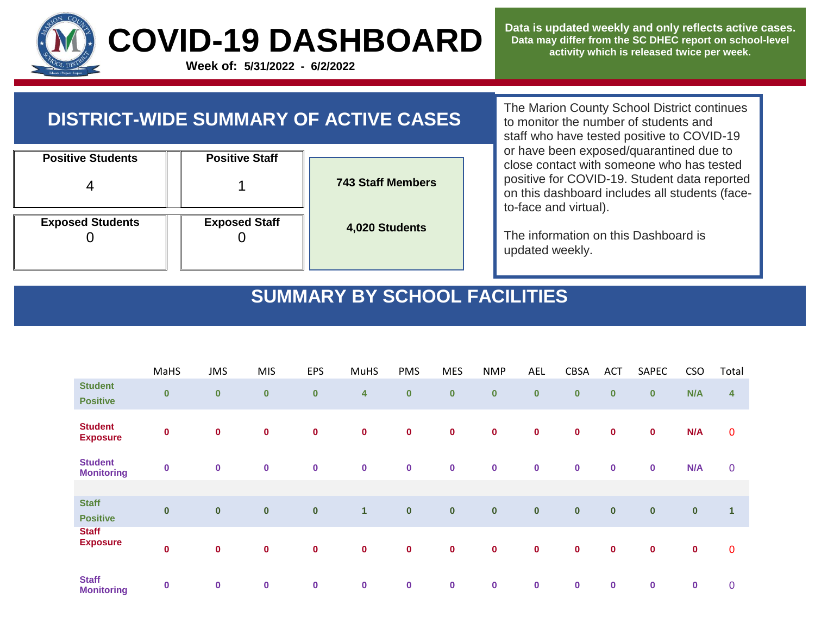

**Data is updated weekly and only reflects active cases. Data may differ from the SC DHEC report on school-level activity which is released twice per week.**

## **DISTRICT-WIDE SUMMARY OF ACTIVE CASES**

|                          | <b>Positive Staff</b> |                          |
|--------------------------|-----------------------|--------------------------|
| <b>Positive Students</b> |                       |                          |
|                          |                       | <b>743 Staff Members</b> |
|                          |                       |                          |
| <b>Exposed Students</b>  | <b>Exposed Staff</b>  | 4,020 Students           |

The Marion County School District continues to monitor the number of students and staff who have tested positive to COVID-19 or have been exposed/quarantined due to close contact with someone who has tested positive for COVID-19. Student data reported on this dashboard includes all students (faceto-face and virtual).

The information on this Dashboard is updated weekly.

## **SUMMARY BY SCHOOL FACILITIES**

|                                     | MaHS      | <b>JMS</b>  | <b>MIS</b>  | <b>EPS</b>       | <b>MuHS</b>  | <b>PMS</b> | <b>MES</b>  | <b>NMP</b>  | <b>AEL</b> | <b>CBSA</b> | <b>ACT</b>  | SAPEC       | <b>CSO</b> | Total          |
|-------------------------------------|-----------|-------------|-------------|------------------|--------------|------------|-------------|-------------|------------|-------------|-------------|-------------|------------|----------------|
| <b>Student</b><br><b>Positive</b>   | $\pmb{0}$ | $\bf{0}$    | $\pmb{0}$   | $\bf{0}$         | 4            | $\pmb{0}$  | $\pmb{0}$   | $\pmb{0}$   | $\bf{0}$   | $\bf{0}$    | $\bf{0}$    | $\bf{0}$    | N/A        | $\overline{4}$ |
| <b>Student</b><br><b>Exposure</b>   | $\pmb{0}$ | $\mathbf 0$ | $\mathbf 0$ | $\pmb{0}$        | $\bf{0}$     | $\bf{0}$   | $\pmb{0}$   | $\bf{0}$    | $\bf{0}$   | $\mathbf 0$ | $\bf{0}$    | $\mathbf 0$ | N/A        | $\pmb{0}$      |
| <b>Student</b><br><b>Monitoring</b> | $\bf{0}$  | $\bf{0}$    | $\bf{0}$    | $\bf{0}$         | $\bf{0}$     | $\bf{0}$   | $\pmb{0}$   | $\bf{0}$    | $\bf{0}$   | $\bf{0}$    | $\bf{0}$    | $\bf{0}$    | N/A        | $\mathbf 0$    |
| <b>Staff</b><br><b>Positive</b>     | $\pmb{0}$ | $\bf{0}$    | $\pmb{0}$   | $\boldsymbol{0}$ | $\mathbf{1}$ | $\bf{0}$   | $\pmb{0}$   | $\mathbf 0$ | $\pmb{0}$  | $\pmb{0}$   | $\mathbf 0$ | $\bf{0}$    | $\pmb{0}$  | $\mathbf{1}$   |
| <b>Staff</b><br><b>Exposure</b>     | $\pmb{0}$ | $\mathbf 0$ | $\pmb{0}$   | $\bf{0}$         | $\mathbf 0$  | $\bf{0}$   | $\mathbf 0$ | $\mathbf 0$ | $\bf{0}$   | $\pmb{0}$   | $\mathbf 0$ | $\mathbf 0$ | $\pmb{0}$  | $\pmb{0}$      |
| <b>Staff</b><br><b>Monitoring</b>   | $\bf{0}$  | $\bf{0}$    | $\bf{0}$    | $\pmb{0}$        | $\bf{0}$     | $\bf{0}$   | $\mathbf 0$ | $\bf{0}$    | $\bf{0}$   | $\bf{0}$    | $\bf{0}$    | $\bf{0}$    | $\pmb{0}$  | $\mathbf 0$    |